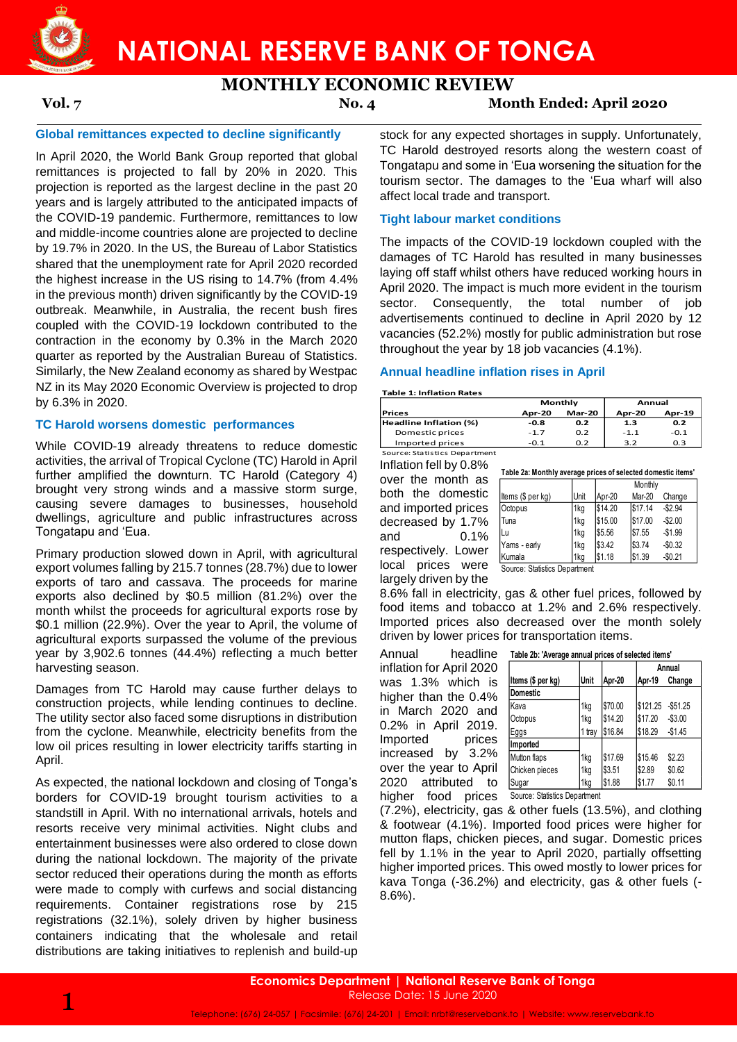

# **NATIONAL RESERVE BANK OF TONGA**

# **MONTHLY ECONOMIC REVIEW**

**Vol. 7 No. 4 Month Ended: April 2020**

## **Global remittances expected to decline significantly**

In April 2020, the World Bank Group reported that global remittances is projected to fall by 20% in 2020. This projection is reported as the largest decline in the past 20 years and is largely attributed to the anticipated impacts of the COVID-19 pandemic. Furthermore, remittances to low and middle-income countries alone are projected to decline by 19.7% in 2020. In the US, the Bureau of Labor Statistics shared that the unemployment rate for April 2020 recorded the highest increase in the US rising to 14.7% (from 4.4% in the previous month) driven significantly by the COVID-19 outbreak. Meanwhile, in Australia, the recent bush fires coupled with the COVID-19 lockdown contributed to the contraction in the economy by 0.3% in the March 2020 quarter as reported by the Australian Bureau of Statistics. Similarly, the New Zealand economy as shared by Westpac NZ in its May 2020 Economic Overview is projected to drop by 6.3% in 2020.

# **TC Harold worsens domestic performances**

While COVID-19 already threatens to reduce domestic activities, the arrival of Tropical Cyclone (TC) Harold in April further amplified the downturn. TC Harold (Category 4) brought very strong winds and a massive storm surge, causing severe damages to businesses, household dwellings, agriculture and public infrastructures across Tongatapu and 'Eua.

Primary production slowed down in April, with agricultural export volumes falling by 215.7 tonnes (28.7%) due to lower exports of taro and cassava. The proceeds for marine exports also declined by \$0.5 million (81.2%) over the month whilst the proceeds for agricultural exports rose by \$0.1 million (22.9%). Over the year to April, the volume of agricultural exports surpassed the volume of the previous year by 3,902.6 tonnes (44.4%) reflecting a much better harvesting season.

Damages from TC Harold may cause further delays to construction projects, while lending continues to decline. The utility sector also faced some disruptions in distribution from the cyclone. Meanwhile, electricity benefits from the low oil prices resulting in lower electricity tariffs starting in April.

As expected, the national lockdown and closing of Tonga's borders for COVID-19 brought tourism activities to a standstill in April. With no international arrivals, hotels and resorts receive very minimal activities. Night clubs and entertainment businesses were also ordered to close down during the national lockdown. The majority of the private sector reduced their operations during the month as efforts were made to comply with curfews and social distancing requirements. Container registrations rose by 215 registrations (32.1%), solely driven by higher business containers indicating that the wholesale and retail distributions are taking initiatives to replenish and build-up

stock for any expected shortages in supply. Unfortunately, TC Harold destroyed resorts along the western coast of Tongatapu and some in 'Eua worsening the situation for the tourism sector. The damages to the 'Eua wharf will also affect local trade and transport.

### **Tight labour market conditions**

The impacts of the COVID-19 lockdown coupled with the damages of TC Harold has resulted in many businesses laying off staff whilst others have reduced working hours in April 2020. The impact is much more evident in the tourism sector. Consequently, the total number of job advertisements continued to decline in April 2020 by 12 vacancies (52.2%) mostly for public administration but rose throughout the year by 18 job vacancies (4.1%).

# **Annual headline inflation rises in April**

### **Table 1: Inflation Rates**

|                               |               | Monthly       | Annual        |        |  |
|-------------------------------|---------------|---------------|---------------|--------|--|
| <b>Prices</b>                 | <b>Apr-20</b> | <b>Mar-20</b> | <b>Apr-20</b> | Apr-19 |  |
| Headline Inflation (%)        | -0.8          | 0.2           | 1.3           | 0.2    |  |
| Domestic prices               | $-1.7$        | 0.2           | $-1.1$        | $-0.1$ |  |
| Imported prices               | $-0.1$        | 0.2           | 3.2           | 0.3    |  |
| Source: Statistics Department |               |               |               |        |  |

Inflation fell by 0.8% over the month as both the domestic and imported prices decreased by 1.7% and 0.1% respectively. Lower largely driven by the

|                         | rapic za: monuny average prices or sciected domestic items |      |         |         |          |
|-------------------------|------------------------------------------------------------|------|---------|---------|----------|
| over the month as       |                                                            |      |         | Monthly |          |
| both the domestic       | Items (\$ per kg)                                          | Unit | Apr-20  | Mar-20  | Change   |
| and imported prices     | Octopus                                                    | 1kg  | \$14.20 | \$17.14 | $-$2.94$ |
| decreased by 1.7%       | <b>Tuna</b>                                                | 1ka  | \$15.00 | \$17.00 | $-$2.00$ |
| and<br>$0.1\%$          | ILu                                                        | 1kg  | \$5.56  | \$7.55  | $-$1.99$ |
| respectively. Lower     | Yams - early                                               | 1kg  | \$3.42  | \$3.74  | $-$0.32$ |
|                         | Kumala                                                     | 1ka  | \$1.18  | \$1.39  | $-$0.21$ |
| prices<br>local<br>were | Source: Statistics Denartment                              |      |         |         |          |

**Table 2a: Monthly average prices of selected domestic items'**

Source: Statistics Department

8.6% fall in electricity, gas & other fuel prices, followed by food items and tobacco at 1.2% and 2.6% respectively. Imported prices also decreased over the month solely driven by lower prices for transportation items.

Annual headline inflation for April 2020 was 1.3% which is higher than the 0.4% in March 2020 and 0.2% in April 2019. Imported prices increased by 3.2% over the year to April 2020 attributed to higher food prices Source: Statistics Department

|  | Table 2b: 'Average annual prices of selected items' |
|--|-----------------------------------------------------|
|--|-----------------------------------------------------|

|                                                                   |             |         |          | Annual    |
|-------------------------------------------------------------------|-------------|---------|----------|-----------|
| Items (\$ per kg)                                                 | <b>Unit</b> | Apr-20  | Apr-19   | Change    |
| <b>Domestic</b>                                                   |             |         |          |           |
| Kava                                                              | 1kg         | \$70.00 | \$121.25 | $-$51.25$ |
| Octopus                                                           | 1kg         | \$14.20 | \$17.20  | $-$3.00$  |
| Eggs                                                              | 1 tray      | \$16.84 | \$18.29  | $-$1.45$  |
| Imported                                                          |             |         |          |           |
| Mutton flaps                                                      | 1kg         | \$17.69 | \$15.46  | \$2.23    |
| Chicken pieces                                                    | 1kg         | \$3.51  | \$2.89   | \$0.62    |
| Sugar                                                             | 1kg         | \$1.88  | \$1.77   | \$0.11    |
| $\sim$ $\sim$ $\sim$<br>$\sim$ $\sim$<br>$\overline{\phantom{a}}$ |             |         |          |           |

(7.2%), electricity, gas & other fuels (13.5%), and clothing & footwear (4.1%). Imported food prices were higher for mutton flaps, chicken pieces, and sugar. Domestic prices fell by 1.1% in the year to April 2020, partially offsetting higher imported prices. This owed mostly to lower prices for

kava Tonga (-36.2%) and electricity, gas & other fuels (-

8.6%).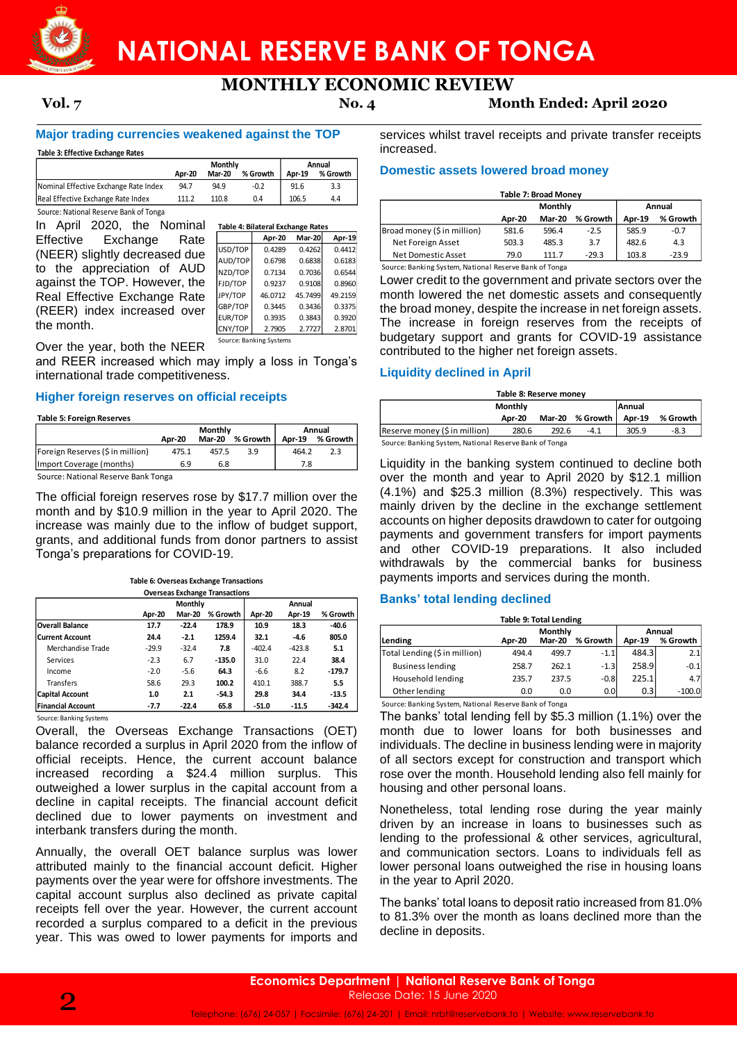

# **NATIONAL RESERVE BANK OF TONGA**

# **MONTHLY ECONOMIC REVIEW**

**Apr-20 Mar-20 Apr-19**  $0.4412$  $0.6183$ 0.6544 0.8960 49.2159 0.3375 D.3920 2.8701

**Vol. 7 No. 4 Month Ended: April 2020**

# **Major trading currencies weakened against the TOP**

**Table 3: Effective Exchange Rates**

|                                        | Monthly |               |          | Annual |          |  |
|----------------------------------------|---------|---------------|----------|--------|----------|--|
|                                        | Apr-20  | <b>Mar-20</b> | % Growth | Apr-19 | % Growth |  |
| Nominal Effective Exchange Rate Index  | 94.7    | 94.9          | $-0.2$   | 91.6   | 3.3      |  |
| Real Effective Exchange Rate Index     | 111.2   | 110.8         | 0.4      | 106.5  | 4.4      |  |
| Source: National Reserve Bank of Tonga |         |               |          |        |          |  |

| In April 2020, the Nominal    |         | Table 4: Bilateral Exchange Rates |               |  |
|-------------------------------|---------|-----------------------------------|---------------|--|
| Effective Exchange<br>Rate    |         | Apr-20                            | <b>Mar-20</b> |  |
| (NEER) slightly decreased due | USD/TOP | 0.4289                            | 0.4262        |  |
|                               | AUD/TOP | 0.6798                            | 0.6838        |  |
| to the appreciation of AUD    | NZD/TOP | 0.7134                            | 0.7036        |  |
| against the TOP. However, the | FJD/TOP | 0.9237                            | 0.9108        |  |
| Real Effective Exchange Rate  | JPY/TOP | 46.0712                           | 45.7499       |  |
| (REER) index increased over   | GBP/TOP | 0.3445                            | 0.3436        |  |
|                               | EUR/TOP | 0.3935                            | 0.3843        |  |
| the month.                    | CNY/TOP | 2.7905                            | 2.7727        |  |
| . . <u>.</u> .                |         | Source: Banking Systems           |               |  |

Over the year, both the NEER

and REER increased which may imply a loss in Tonga's international trade competitiveness.

### **Higher foreign reserves on official receipts**

**Table 5: Foreign Reserves**

|                                     | Monthly |               |          |       | Annual          |
|-------------------------------------|---------|---------------|----------|-------|-----------------|
|                                     | Apr-20  | <b>Mar-20</b> | % Growth |       | Apr-19 % Growth |
| Foreign Reserves (\$ in million)    | 475.1   | 457.5         | 3.9      | 464.2 | 2.3             |
| (Import Coverage (months)           | 6.9     | 6.8           |          | 7.8   |                 |
| Source: National Reserve Bank Tonga |         |               |          |       |                 |

Source: National Reserve Bank Tonga

The official foreign reserves rose by \$17.7 million over the month and by \$10.9 million in the year to April 2020. The increase was mainly due to the inflow of budget support, grants, and additional funds from donor partners to assist Tonga's preparations for COVID-19.

**Table 6: Overseas Exchange Transactions**

**Apr-20 Mar-20 % Growth Apr-20 Apr-19 % Growth Overall Balance 17.7 -22.4 178.9 10.9 18.3 -40.6 Current Account 24.4 -2.1 1259.4 32.1 -4.6 805.0** Merchandise Trade -29.9 -32.4 **7.8** -402.4 -423.8 **5.1** Services -2.3 6.7 **-135.0** 31.0 22.4 **38.4** Income -2.0 -5.6 **64.3** -6.6 8.2 **-179.7** Transfers 58.6 29.3 **100.2** 410.1 388.7 **5.5 Capital Account 1.0 2.1 -54.3 29.8 34.4 -13.5 Financial Account -7.7 -22.4 65.8 -51.0 -11.5 -342.4 Monthly Annual Overseas Exchange Transactions**

Source: Banking Systems

Overall, the Overseas Exchange Transactions (OET) balance recorded a surplus in April 2020 from the inflow of official receipts. Hence, the current account balance increased recording a \$24.4 million surplus. This outweighed a lower surplus in the capital account from a decline in capital receipts. The financial account deficit declined due to lower payments on investment and interbank transfers during the month.

Annually, the overall OET balance surplus was lower attributed mainly to the financial account deficit. Higher payments over the year were for offshore investments. The capital account surplus also declined as private capital receipts fell over the year. However, the current account recorded a surplus compared to a deficit in the previous year. This was owed to lower payments for imports and

services whilst travel receipts and private transfer receipts increased.

# **Domestic assets lowered broad money**

| <b>Table 7: Broad Money</b> |                   |               |          |        |          |  |
|-----------------------------|-------------------|---------------|----------|--------|----------|--|
|                             | Monthly<br>Annual |               |          |        |          |  |
|                             | <b>Apr-20</b>     | <b>Mar-20</b> | % Growth | Apr-19 | % Growth |  |
| Broad money (\$ in million) | 581.6             | 596.4         | $-2.5$   | 585.9  | $-0.7$   |  |
| Net Foreign Asset           | 503.3             | 485.3         | 3.7      | 482.6  | 4.3      |  |
| Net Domestic Asset          | 79.0              | 111.7         | $-29.3$  | 103.8  | $-23.9$  |  |

Source: Banking System, National Reserve Bank of Tonga

Lower credit to the government and private sectors over the month lowered the net domestic assets and consequently the broad money, despite the increase in net foreign assets. The increase in foreign reserves from the receipts of budgetary support and grants for COVID-19 assistance contributed to the higher net foreign assets.

# **Liquidity declined in April**

| Table 8: Reserve money                                 |         |       |                 |        |          |
|--------------------------------------------------------|---------|-------|-----------------|--------|----------|
|                                                        | Monthly |       |                 | Annual |          |
|                                                        | Apr-20  |       | Mar-20 % Growth | Apr-19 | % Growth |
| Reserve money (\$ in million)                          | 280.6   | 292.6 | $-4.1$          | 305.9  | -8.3     |
| Source: Banking System, National Reserve Bank of Tonga |         |       |                 |        |          |

Liquidity in the banking system continued to decline both over the month and year to April 2020 by \$12.1 million (4.1%) and \$25.3 million (8.3%) respectively. This was mainly driven by the decline in the exchange settlement accounts on higher deposits drawdown to cater for outgoing payments and government transfers for import payments and other COVID-19 preparations. It also included withdrawals by the commercial banks for business payments imports and services during the month.

# **Banks' total lending declined**

| <b>Table 9: Total Lending</b>                          |        |                                 |                  |        |                    |  |
|--------------------------------------------------------|--------|---------------------------------|------------------|--------|--------------------|--|
| Lending                                                | Apr-20 | <b>Monthly</b><br><b>Mar-20</b> | % Growth         | Apr-19 | Annual<br>% Growth |  |
| Total Lending (\$ in million)                          | 494.4  | 499.7                           | $-1.1$           | 484.3  | 2.1                |  |
| <b>Business lending</b>                                | 258.7  | 262.1                           | $-1.3$           | 258.9  | $-0.1$             |  |
| Household lending                                      | 235.7  | 237.5                           | $-0.8$           | 225.1  | 4.7                |  |
| Other lending                                          | 0.0    | 0.0                             | 0.0 <sub>l</sub> | 0.3    | $-100.0$           |  |
| Source: Banking System, National Reserve Bank of Tonga |        |                                 |                  |        |                    |  |

The banks' total lending fell by \$5.3 million (1.1%) over the month due to lower loans for both businesses and individuals. The decline in business lending were in majority of all sectors except for construction and transport which rose over the month. Household lending also fell mainly for housing and other personal loans.

Nonetheless, total lending rose during the year mainly driven by an increase in loans to businesses such as lending to the professional & other services, agricultural, and communication sectors. Loans to individuals fell as lower personal loans outweighed the rise in housing loans in the year to April 2020.

The banks' total loans to deposit ratio increased from 81.0% to 81.3% over the month as loans declined more than the decline in deposits.